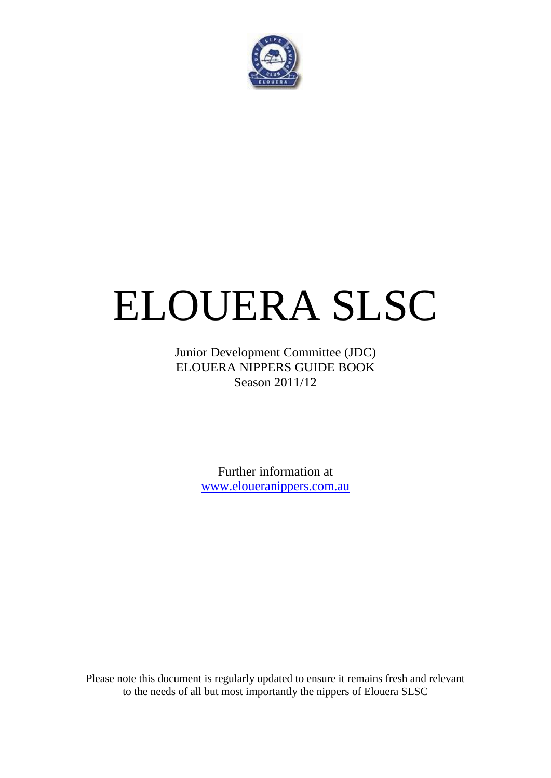

# ELOUERA SLSC

Junior Development Committee (JDC) ELOUERA NIPPERS GUIDE BOOK Season 2011/12

> Further information at [www.eloueranippers.com.au](http://www.eloueranippers.com.au/)

Please note this document is regularly updated to ensure it remains fresh and relevant to the needs of all but most importantly the nippers of Elouera SLSC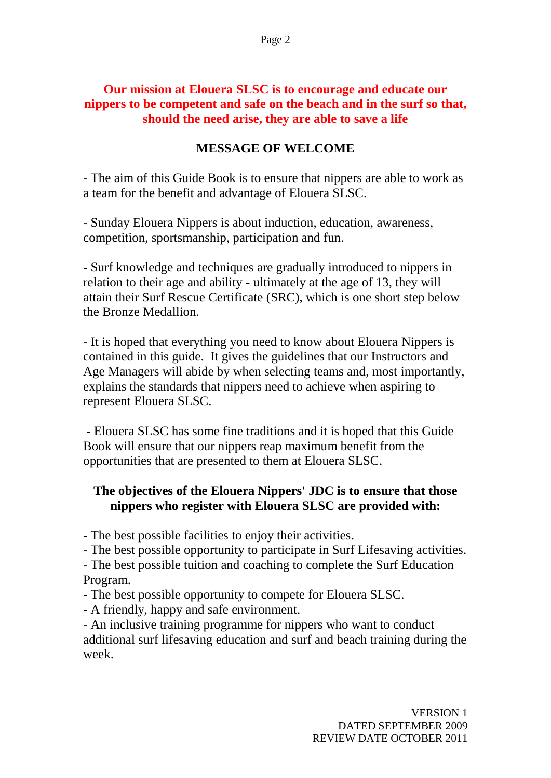#### **Our mission at Elouera SLSC is to encourage and educate our nippers to be competent and safe on the beach and in the surf so that, should the need arise, they are able to save a life**

#### **MESSAGE OF WELCOME**

- The aim of this Guide Book is to ensure that nippers are able to work as a team for the benefit and advantage of Elouera SLSC.

- Sunday Elouera Nippers is about induction, education, awareness, competition, sportsmanship, participation and fun.

- Surf knowledge and techniques are gradually introduced to nippers in relation to their age and ability - ultimately at the age of 13, they will attain their Surf Rescue Certificate (SRC), which is one short step below the Bronze Medallion.

- It is hoped that everything you need to know about Elouera Nippers is contained in this guide. It gives the guidelines that our Instructors and Age Managers will abide by when selecting teams and, most importantly, explains the standards that nippers need to achieve when aspiring to represent Elouera SLSC.

- Elouera SLSC has some fine traditions and it is hoped that this Guide Book will ensure that our nippers reap maximum benefit from the opportunities that are presented to them at Elouera SLSC.

#### **The objectives of the Elouera Nippers' JDC is to ensure that those nippers who register with Elouera SLSC are provided with:**

- The best possible facilities to enjoy their activities.

- The best possible opportunity to participate in Surf Lifesaving activities.

- The best possible tuition and coaching to complete the Surf Education Program.

- The best possible opportunity to compete for Elouera SLSC.

- A friendly, happy and safe environment.

- An inclusive training programme for nippers who want to conduct additional surf lifesaving education and surf and beach training during the week.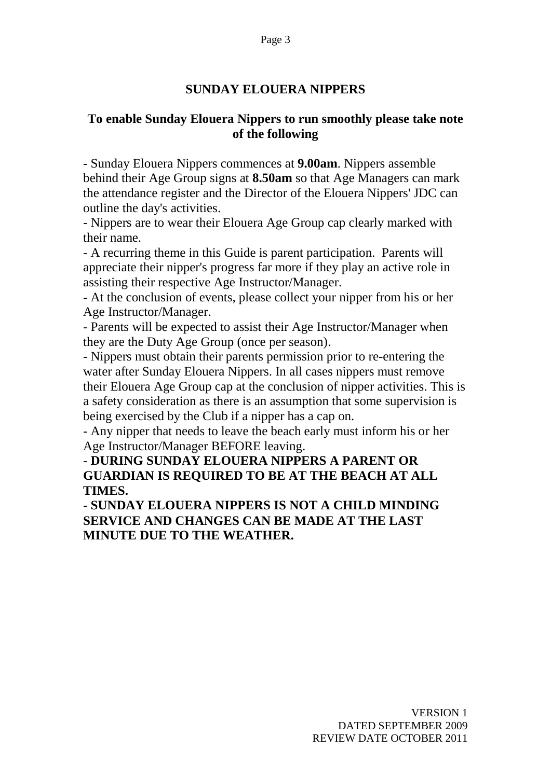#### **SUNDAY ELOUERA NIPPERS**

#### **To enable Sunday Elouera Nippers to run smoothly please take note of the following**

- Sunday Elouera Nippers commences at **9.00am**. Nippers assemble behind their Age Group signs at **8.50am** so that Age Managers can mark the attendance register and the Director of the Elouera Nippers' JDC can outline the day's activities.

- Nippers are to wear their Elouera Age Group cap clearly marked with their name.

- A recurring theme in this Guide is parent participation. Parents will appreciate their nipper's progress far more if they play an active role in assisting their respective Age Instructor/Manager.

- At the conclusion of events, please collect your nipper from his or her Age Instructor/Manager.

- Parents will be expected to assist their Age Instructor/Manager when they are the Duty Age Group (once per season).

- Nippers must obtain their parents permission prior to re-entering the water after Sunday Elouera Nippers. In all cases nippers must remove their Elouera Age Group cap at the conclusion of nipper activities. This is a safety consideration as there is an assumption that some supervision is being exercised by the Club if a nipper has a cap on.

- Any nipper that needs to leave the beach early must inform his or her Age Instructor/Manager BEFORE leaving.

## - **DURING SUNDAY ELOUERA NIPPERS A PARENT OR GUARDIAN IS REQUIRED TO BE AT THE BEACH AT ALL TIMES.**

- **SUNDAY ELOUERA NIPPERS IS NOT A CHILD MINDING SERVICE AND CHANGES CAN BE MADE AT THE LAST MINUTE DUE TO THE WEATHER.**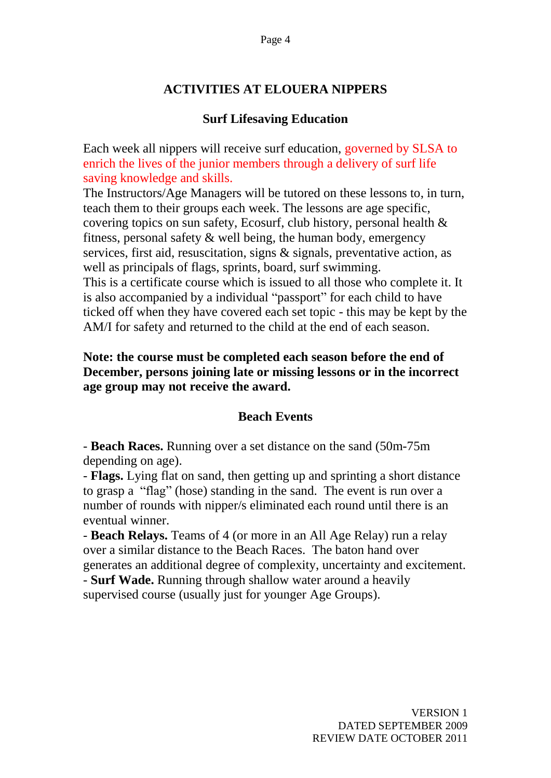## **ACTIVITIES AT ELOUERA NIPPERS**

#### **Surf Lifesaving Education**

Each week all nippers will receive surf education, governed by SLSA to enrich the lives of the junior members through a delivery of surf life saving knowledge and skills.

The Instructors/Age Managers will be tutored on these lessons to, in turn, teach them to their groups each week. The lessons are age specific, covering topics on sun safety, Ecosurf, club history, personal health & fitness, personal safety & well being, the human body, emergency services, first aid, resuscitation, signs & signals, preventative action, as well as principals of flags, sprints, board, surf swimming. This is a certificate course which is issued to all those who complete it. It

is also accompanied by a individual "passport" for each child to have ticked off when they have covered each set topic - this may be kept by the AM/I for safety and returned to the child at the end of each season.

#### **Note: the course must be completed each season before the end of December, persons joining late or missing lessons or in the incorrect age group may not receive the award.**

#### **Beach Events**

- **Beach Races.** Running over a set distance on the sand (50m-75m depending on age).

- **Flags.** Lying flat on sand, then getting up and sprinting a short distance to grasp a "flag" (hose) standing in the sand. The event is run over a number of rounds with nipper/s eliminated each round until there is an eventual winner.

- **Beach Relays.** Teams of 4 (or more in an All Age Relay) run a relay over a similar distance to the Beach Races. The baton hand over generates an additional degree of complexity, uncertainty and excitement. - **Surf Wade.** Running through shallow water around a heavily supervised course (usually just for younger Age Groups).

> VERSION 1 DATED SEPTEMBER 2009 REVIEW DATE OCTOBER 2011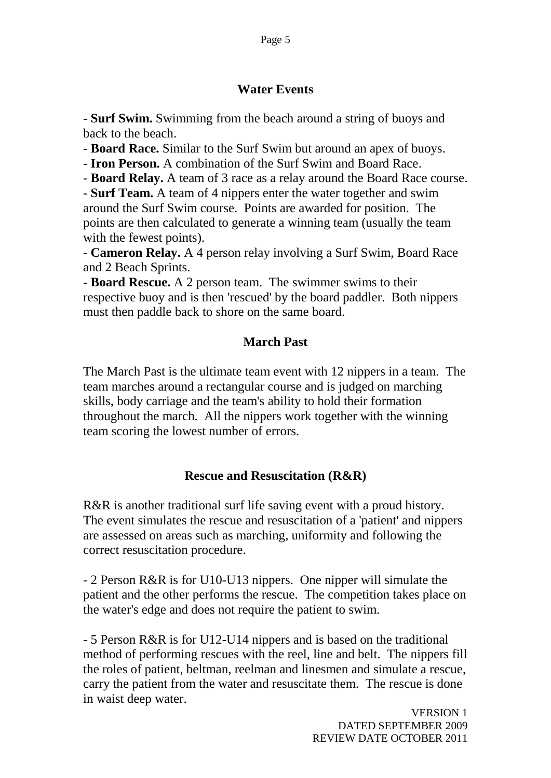#### **Water Events**

- **Surf Swim.** Swimming from the beach around a string of buoys and back to the beach.

- **Board Race.** Similar to the Surf Swim but around an apex of buoys.

- **Iron Person.** A combination of the Surf Swim and Board Race.

- **Board Relay.** A team of 3 race as a relay around the Board Race course.

- **Surf Team.** A team of 4 nippers enter the water together and swim around the Surf Swim course. Points are awarded for position. The points are then calculated to generate a winning team (usually the team with the fewest points).

- **Cameron Relay.** A 4 person relay involving a Surf Swim, Board Race and 2 Beach Sprints.

- **Board Rescue.** A 2 person team. The swimmer swims to their respective buoy and is then 'rescued' by the board paddler. Both nippers must then paddle back to shore on the same board.

## **March Past**

The March Past is the ultimate team event with 12 nippers in a team. The team marches around a rectangular course and is judged on marching skills, body carriage and the team's ability to hold their formation throughout the march. All the nippers work together with the winning team scoring the lowest number of errors.

## **Rescue and Resuscitation (R&R)**

R&R is another traditional surf life saving event with a proud history. The event simulates the rescue and resuscitation of a 'patient' and nippers are assessed on areas such as marching, uniformity and following the correct resuscitation procedure.

- 2 Person R&R is for U10-U13 nippers. One nipper will simulate the patient and the other performs the rescue. The competition takes place on the water's edge and does not require the patient to swim.

- 5 Person R&R is for U12-U14 nippers and is based on the traditional method of performing rescues with the reel, line and belt. The nippers fill the roles of patient, beltman, reelman and linesmen and simulate a rescue, carry the patient from the water and resuscitate them. The rescue is done in waist deep water.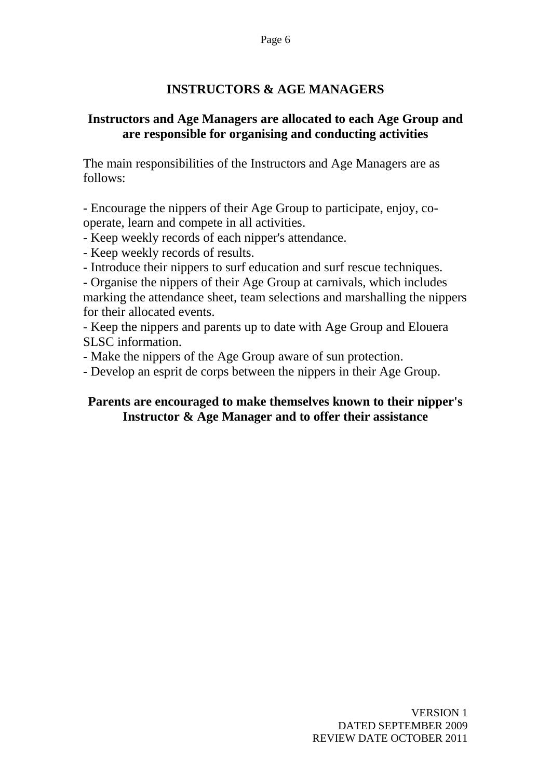#### **INSTRUCTORS & AGE MANAGERS**

#### **Instructors and Age Managers are allocated to each Age Group and are responsible for organising and conducting activities**

The main responsibilities of the Instructors and Age Managers are as follows:

- Encourage the nippers of their Age Group to participate, enjoy, cooperate, learn and compete in all activities.

- Keep weekly records of each nipper's attendance.

- Keep weekly records of results.

- Introduce their nippers to surf education and surf rescue techniques.

- Organise the nippers of their Age Group at carnivals, which includes marking the attendance sheet, team selections and marshalling the nippers for their allocated events.

- Keep the nippers and parents up to date with Age Group and Elouera SLSC information.

- Make the nippers of the Age Group aware of sun protection.

- Develop an esprit de corps between the nippers in their Age Group.

#### **Parents are encouraged to make themselves known to their nipper's Instructor & Age Manager and to offer their assistance**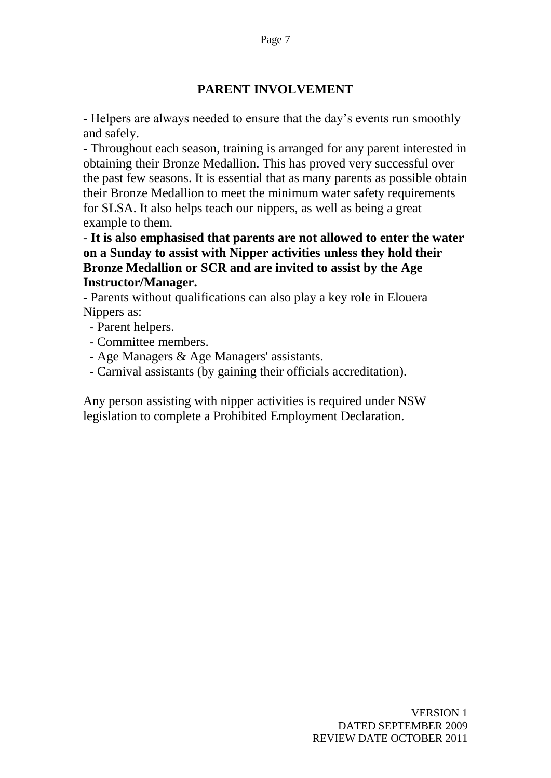#### **PARENT INVOLVEMENT**

- Helpers are always needed to ensure that the day"s events run smoothly and safely.

- Throughout each season, training is arranged for any parent interested in obtaining their Bronze Medallion. This has proved very successful over the past few seasons. It is essential that as many parents as possible obtain their Bronze Medallion to meet the minimum water safety requirements for SLSA. It also helps teach our nippers, as well as being a great example to them.

- **It is also emphasised that parents are not allowed to enter the water on a Sunday to assist with Nipper activities unless they hold their Bronze Medallion or SCR and are invited to assist by the Age Instructor/Manager.**

- Parents without qualifications can also play a key role in Elouera Nippers as:

- Parent helpers.
- Committee members.
- Age Managers & Age Managers' assistants.
- Carnival assistants (by gaining their officials accreditation).

Any person assisting with nipper activities is required under NSW legislation to complete a Prohibited Employment Declaration.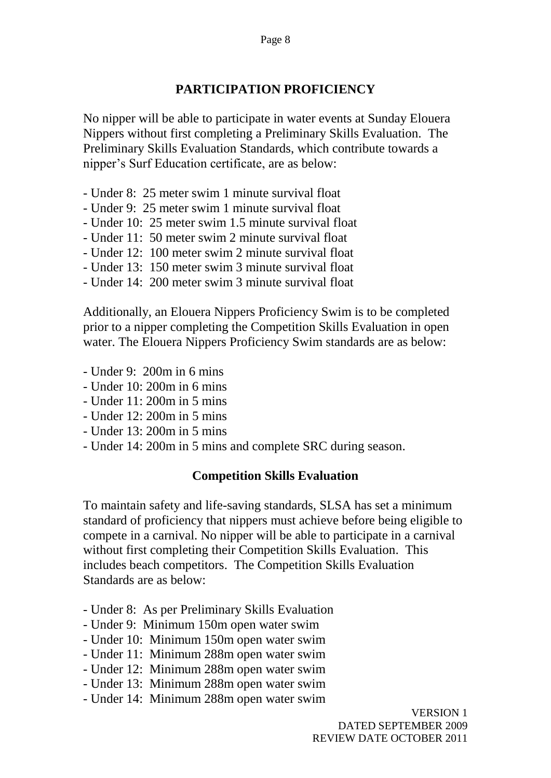#### **PARTICIPATION PROFICIENCY**

No nipper will be able to participate in water events at Sunday Elouera Nippers without first completing a Preliminary Skills Evaluation. The Preliminary Skills Evaluation Standards, which contribute towards a nipper"s Surf Education certificate, are as below:

- Under 8: 25 meter swim 1 minute survival float
- Under 9: 25 meter swim 1 minute survival float
- Under 10: 25 meter swim 1.5 minute survival float
- Under 11: 50 meter swim 2 minute survival float
- Under 12: 100 meter swim 2 minute survival float
- Under 13: 150 meter swim 3 minute survival float
- Under 14: 200 meter swim 3 minute survival float

Additionally, an Elouera Nippers Proficiency Swim is to be completed prior to a nipper completing the Competition Skills Evaluation in open water. The Elouera Nippers Proficiency Swim standards are as below:

- Under 9: 200m in 6 mins
- Under 10: 200m in 6 mins
- Under 11: 200m in 5 mins
- Under 12: 200m in 5 mins
- $-$  Under 13: 200m in 5 mins
- Under 14: 200m in 5 mins and complete SRC during season.

#### **Competition Skills Evaluation**

To maintain safety and life-saving standards, SLSA has set a minimum standard of proficiency that nippers must achieve before being eligible to compete in a carnival. No nipper will be able to participate in a carnival without first completing their Competition Skills Evaluation. This includes beach competitors. The Competition Skills Evaluation Standards are as below:

- Under 8: As per Preliminary Skills Evaluation
- Under 9: Minimum 150m open water swim
- Under 10: Minimum 150m open water swim
- Under 11: Minimum 288m open water swim
- Under 12: Minimum 288m open water swim
- Under 13: Minimum 288m open water swim
- Under 14: Minimum 288m open water swim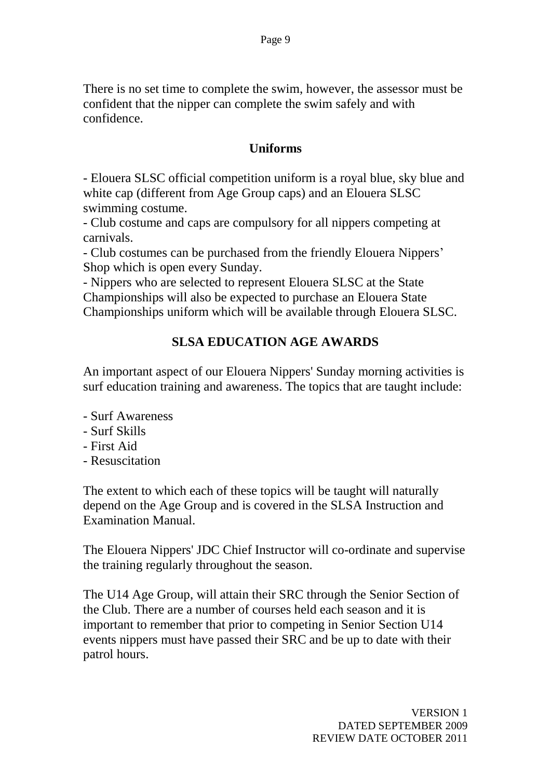There is no set time to complete the swim, however, the assessor must be confident that the nipper can complete the swim safely and with confidence.

#### **Uniforms**

- Elouera SLSC official competition uniform is a royal blue, sky blue and white cap (different from Age Group caps) and an Elouera SLSC swimming costume.

- Club costume and caps are compulsory for all nippers competing at carnivals.

- Club costumes can be purchased from the friendly Elouera Nippers" Shop which is open every Sunday.

- Nippers who are selected to represent Elouera SLSC at the State Championships will also be expected to purchase an Elouera State Championships uniform which will be available through Elouera SLSC.

## **SLSA EDUCATION AGE AWARDS**

An important aspect of our Elouera Nippers' Sunday morning activities is surf education training and awareness. The topics that are taught include:

- Surf Awareness
- Surf Skills
- First Aid
- Resuscitation

The extent to which each of these topics will be taught will naturally depend on the Age Group and is covered in the SLSA Instruction and Examination Manual.

The Elouera Nippers' JDC Chief Instructor will co-ordinate and supervise the training regularly throughout the season.

The U14 Age Group, will attain their SRC through the Senior Section of the Club. There are a number of courses held each season and it is important to remember that prior to competing in Senior Section U14 events nippers must have passed their SRC and be up to date with their patrol hours.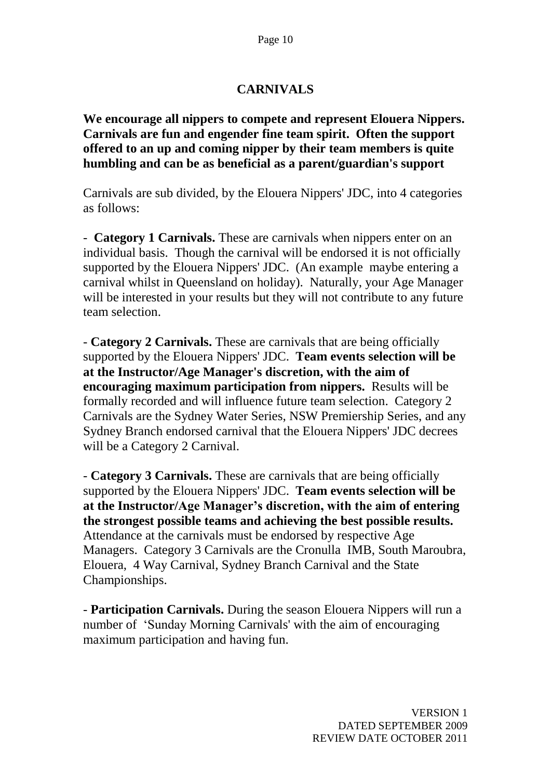#### **CARNIVALS**

**We encourage all nippers to compete and represent Elouera Nippers. Carnivals are fun and engender fine team spirit. Often the support offered to an up and coming nipper by their team members is quite humbling and can be as beneficial as a parent/guardian's support**

Carnivals are sub divided, by the Elouera Nippers' JDC, into 4 categories as follows:

- **Category 1 Carnivals.** These are carnivals when nippers enter on an individual basis. Though the carnival will be endorsed it is not officially supported by the Elouera Nippers' JDC. (An example maybe entering a carnival whilst in Queensland on holiday). Naturally, your Age Manager will be interested in your results but they will not contribute to any future team selection.

- **Category 2 Carnivals.** These are carnivals that are being officially supported by the Elouera Nippers' JDC. **Team events selection will be at the Instructor/Age Manager's discretion, with the aim of encouraging maximum participation from nippers.** Results will be formally recorded and will influence future team selection. Category 2 Carnivals are the Sydney Water Series, NSW Premiership Series, and any Sydney Branch endorsed carnival that the Elouera Nippers' JDC decrees will be a Category 2 Carnival.

- **Category 3 Carnivals.** These are carnivals that are being officially supported by the Elouera Nippers' JDC. **Team events selection will be at the Instructor/Age Manager's discretion, with the aim of entering the strongest possible teams and achieving the best possible results.**  Attendance at the carnivals must be endorsed by respective Age Managers. Category 3 Carnivals are the Cronulla IMB, South Maroubra, Elouera, 4 Way Carnival, Sydney Branch Carnival and the State Championships.

- **Participation Carnivals.** During the season Elouera Nippers will run a number of "Sunday Morning Carnivals' with the aim of encouraging maximum participation and having fun.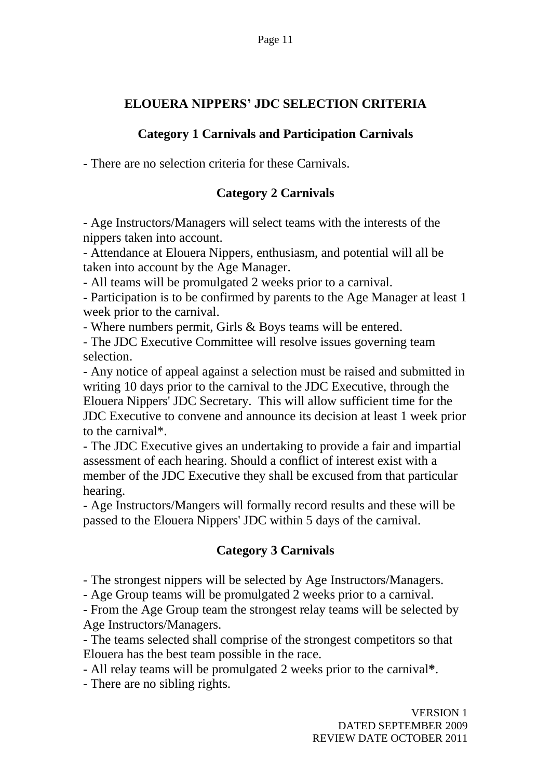## **ELOUERA NIPPERS' JDC SELECTION CRITERIA**

## **Category 1 Carnivals and Participation Carnivals**

- There are no selection criteria for these Carnivals.

## **Category 2 Carnivals**

- Age Instructors/Managers will select teams with the interests of the nippers taken into account.

- Attendance at Elouera Nippers, enthusiasm, and potential will all be taken into account by the Age Manager.

- All teams will be promulgated 2 weeks prior to a carnival.

- Participation is to be confirmed by parents to the Age Manager at least 1 week prior to the carnival.

- Where numbers permit, Girls & Boys teams will be entered.

- The JDC Executive Committee will resolve issues governing team selection.

- Any notice of appeal against a selection must be raised and submitted in writing 10 days prior to the carnival to the JDC Executive, through the Elouera Nippers' JDC Secretary. This will allow sufficient time for the JDC Executive to convene and announce its decision at least 1 week prior to the carnival\*.

- The JDC Executive gives an undertaking to provide a fair and impartial assessment of each hearing. Should a conflict of interest exist with a member of the JDC Executive they shall be excused from that particular hearing.

- Age Instructors/Mangers will formally record results and these will be passed to the Elouera Nippers' JDC within 5 days of the carnival.

## **Category 3 Carnivals**

- The strongest nippers will be selected by Age Instructors/Managers.

- Age Group teams will be promulgated 2 weeks prior to a carnival.

- From the Age Group team the strongest relay teams will be selected by Age Instructors/Managers.

- The teams selected shall comprise of the strongest competitors so that Elouera has the best team possible in the race.

- All relay teams will be promulgated 2 weeks prior to the carnival**\***.

- There are no sibling rights.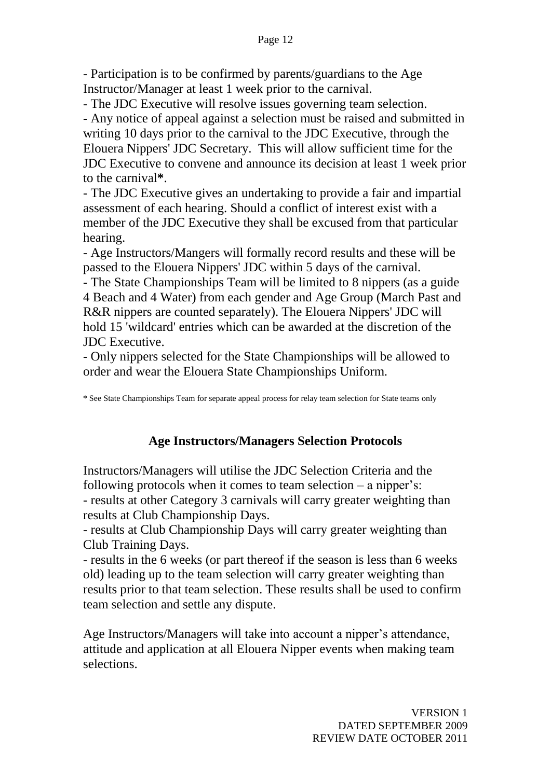- Participation is to be confirmed by parents/guardians to the Age Instructor/Manager at least 1 week prior to the carnival.

- The JDC Executive will resolve issues governing team selection.

- Any notice of appeal against a selection must be raised and submitted in writing 10 days prior to the carnival to the JDC Executive, through the Elouera Nippers' JDC Secretary. This will allow sufficient time for the JDC Executive to convene and announce its decision at least 1 week prior to the carnival**\***.

- The JDC Executive gives an undertaking to provide a fair and impartial assessment of each hearing. Should a conflict of interest exist with a member of the JDC Executive they shall be excused from that particular hearing.

- Age Instructors/Mangers will formally record results and these will be passed to the Elouera Nippers' JDC within 5 days of the carnival.

- The State Championships Team will be limited to 8 nippers (as a guide 4 Beach and 4 Water) from each gender and Age Group (March Past and R&R nippers are counted separately). The Elouera Nippers' JDC will hold 15 'wildcard' entries which can be awarded at the discretion of the JDC Executive.

- Only nippers selected for the State Championships will be allowed to order and wear the Elouera State Championships Uniform.

\* See State Championships Team for separate appeal process for relay team selection for State teams only

## **Age Instructors/Managers Selection Protocols**

Instructors/Managers will utilise the JDC Selection Criteria and the following protocols when it comes to team selection  $-$  a nipper's: - results at other Category 3 carnivals will carry greater weighting than results at Club Championship Days.

- results at Club Championship Days will carry greater weighting than Club Training Days.

- results in the 6 weeks (or part thereof if the season is less than 6 weeks old) leading up to the team selection will carry greater weighting than results prior to that team selection. These results shall be used to confirm team selection and settle any dispute.

Age Instructors/Managers will take into account a nipper's attendance, attitude and application at all Elouera Nipper events when making team selections.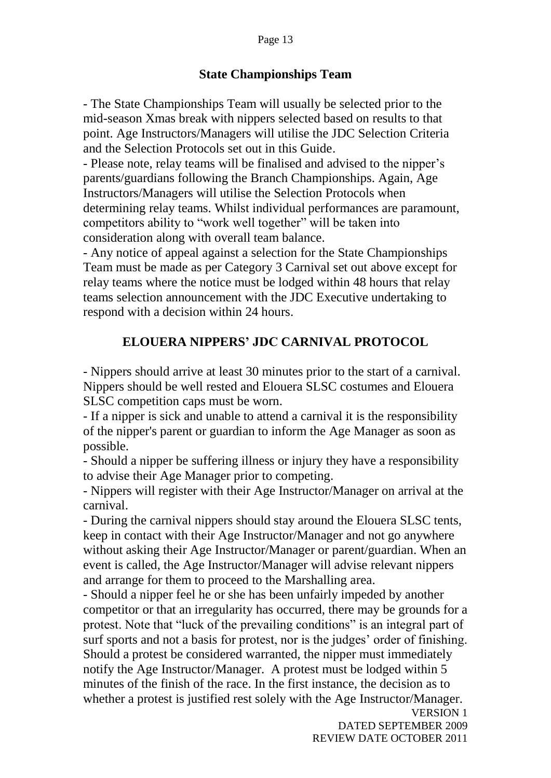#### **State Championships Team**

- The State Championships Team will usually be selected prior to the mid-season Xmas break with nippers selected based on results to that point. Age Instructors/Managers will utilise the JDC Selection Criteria and the Selection Protocols set out in this Guide.

- Please note, relay teams will be finalised and advised to the nipper"s parents/guardians following the Branch Championships. Again, Age Instructors/Managers will utilise the Selection Protocols when determining relay teams. Whilst individual performances are paramount, competitors ability to "work well together" will be taken into consideration along with overall team balance.

- Any notice of appeal against a selection for the State Championships Team must be made as per Category 3 Carnival set out above except for relay teams where the notice must be lodged within 48 hours that relay teams selection announcement with the JDC Executive undertaking to respond with a decision within 24 hours.

#### **ELOUERA NIPPERS' JDC CARNIVAL PROTOCOL**

- Nippers should arrive at least 30 minutes prior to the start of a carnival. Nippers should be well rested and Elouera SLSC costumes and Elouera SLSC competition caps must be worn.

- If a nipper is sick and unable to attend a carnival it is the responsibility of the nipper's parent or guardian to inform the Age Manager as soon as possible.

- Should a nipper be suffering illness or injury they have a responsibility to advise their Age Manager prior to competing.

- Nippers will register with their Age Instructor/Manager on arrival at the carnival.

- During the carnival nippers should stay around the Elouera SLSC tents, keep in contact with their Age Instructor/Manager and not go anywhere without asking their Age Instructor/Manager or parent/guardian. When an event is called, the Age Instructor/Manager will advise relevant nippers and arrange for them to proceed to the Marshalling area.

- Should a nipper feel he or she has been unfairly impeded by another competitor or that an irregularity has occurred, there may be grounds for a protest. Note that "luck of the prevailing conditions" is an integral part of surf sports and not a basis for protest, nor is the judges' order of finishing. Should a protest be considered warranted, the nipper must immediately notify the Age Instructor/Manager. A protest must be lodged within 5 minutes of the finish of the race. In the first instance, the decision as to whether a protest is justified rest solely with the Age Instructor/Manager.